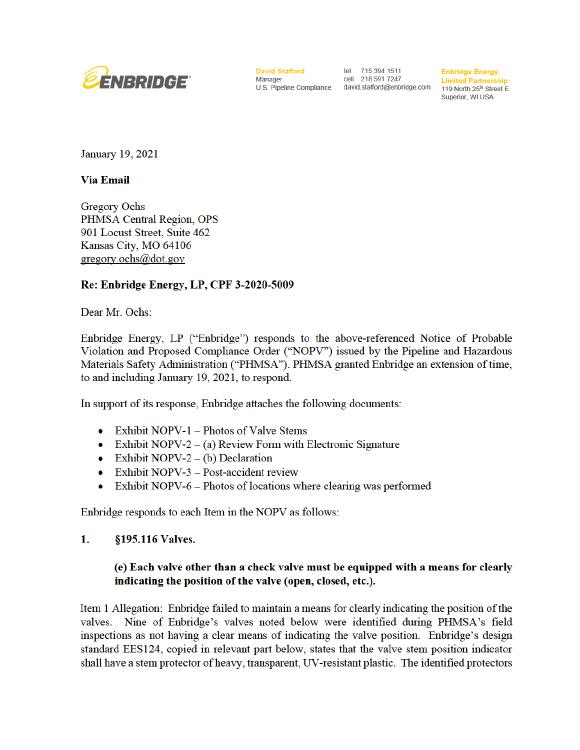

**David Stafford** tel 715 394 1511 Manager

cell 218 591 7247 U.S. Pipeline Compliance david.stafford@enbridge.com

**Enbridge Energy, Limited Partnership** 119 North 25<sup>th</sup> Street E **Superior, WI USA** 

**January 19, 2021** 

**Via Email** 

**Gregory Ochs** PHMSA Central Region, OPS 901 Locust Street, Suite 462 Kansas City, MO 64106  $gregory.ochs@dot.gov$ 

# Re: Enbridge Energy, LP, CPF 3-2020-5009

Dear Mr. Ochs:

Enbridge Energy, LP ("Enbridge") responds to the above-referenced Notice of Probable Violation and Proposed Compliance Order ("NOPV") issued by the Pipeline and Hazardous Materials Safety Administration ("PHMSA"). PHMSA granted Enbridge an extension of time, to and including January 19, 2021, to respond.

In support of its response, Enbridge attaches the following documents:

- Exhibit NOPV-1 Photos of Valve Stems  $\bullet$
- Exhibit NOPV-2 (a) Review Form with Electronic Signature
- Exhibit NOPV-2 (b) Declaration
- Exhibit NOPV-3 Post-accident review  $\bullet$
- Exhibit NOPV-6 Photos of locations where clearing was performed  $\bullet$

Enbridge responds to each Item in the NOPV as follows:

#### §195.116 Valves. 1.

# (e) Each valve other than a check valve must be equipped with a means for clearly indicating the position of the valve (open, closed, etc.).

Item 1 Allegation: Enbridge failed to maintain a means for clearly indicating the position of the valves. Nine of Enbridge's valves noted below were identified during PHMSA's field inspections as not having a clear means of indicating the valve position. Enbridge's design standard EES124, copied in relevant part below, states that the valve stem position indicator shall have a stem protector of heavy, transparent, UV-resistant plastic. The identified protectors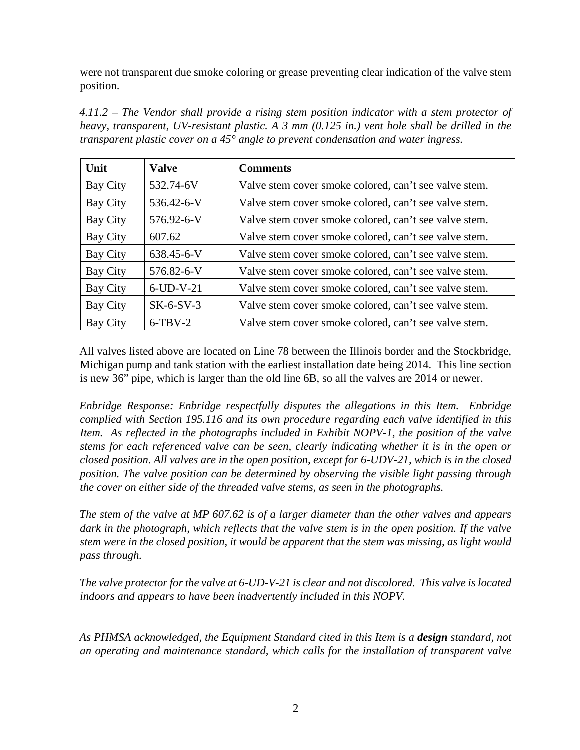were not transparent due smoke coloring or grease preventing clear indication of the valve stem position.

*4.11.2 – The Vendor shall provide a rising stem position indicator with a stem protector of heavy, transparent, UV-resistant plastic. A 3 mm (0.125 in.) vent hole shall be drilled in the transparent plastic cover on a 45° angle to prevent condensation and water ingress.* 

| Unit     | <b>Valve</b> | <b>Comments</b>                                       |
|----------|--------------|-------------------------------------------------------|
| Bay City | 532.74-6V    | Valve stem cover smoke colored, can't see valve stem. |
| Bay City | 536.42-6-V   | Valve stem cover smoke colored, can't see valve stem. |
| Bay City | 576.92-6-V   | Valve stem cover smoke colored, can't see valve stem. |
| Bay City | 607.62       | Valve stem cover smoke colored, can't see valve stem. |
| Bay City | 638.45-6-V   | Valve stem cover smoke colored, can't see valve stem. |
| Bay City | 576.82-6-V   | Valve stem cover smoke colored, can't see valve stem. |
| Bay City | $6$ -UD-V-21 | Valve stem cover smoke colored, can't see valve stem. |
| Bay City | $SK-6-SV-3$  | Valve stem cover smoke colored, can't see valve stem. |
| Bay City | $6-TBV-2$    | Valve stem cover smoke colored, can't see valve stem. |

All valves listed above are located on Line 78 between the Illinois border and the Stockbridge, Michigan pump and tank station with the earliest installation date being 2014. This line section is new 36" pipe, which is larger than the old line 6B, so all the valves are 2014 or newer.

*Enbridge Response: Enbridge respectfully disputes the allegations in this Item. Enbridge complied with Section 195.116 and its own procedure regarding each valve identified in this Item. As reflected in the photographs included in Exhibit NOPV-1, the position of the valve stems for each referenced valve can be seen, clearly indicating whether it is in the open or closed position. All valves are in the open position, except for 6-UDV-21, which is in the closed position. The valve position can be determined by observing the visible light passing through the cover on either side of the threaded valve stems, as seen in the photographs.*

*The stem of the valve at MP 607.62 is of a larger diameter than the other valves and appears dark in the photograph, which reflects that the valve stem is in the open position. If the valve stem were in the closed position, it would be apparent that the stem was missing, as light would pass through.* 

*The valve protector for the valve at 6-UD-V-21 is clear and not discolored. This valve is located indoors and appears to have been inadvertently included in this NOPV.* 

*As PHMSA acknowledged, the Equipment Standard cited in this Item is a design standard, not an operating and maintenance standard, which calls for the installation of transparent valve*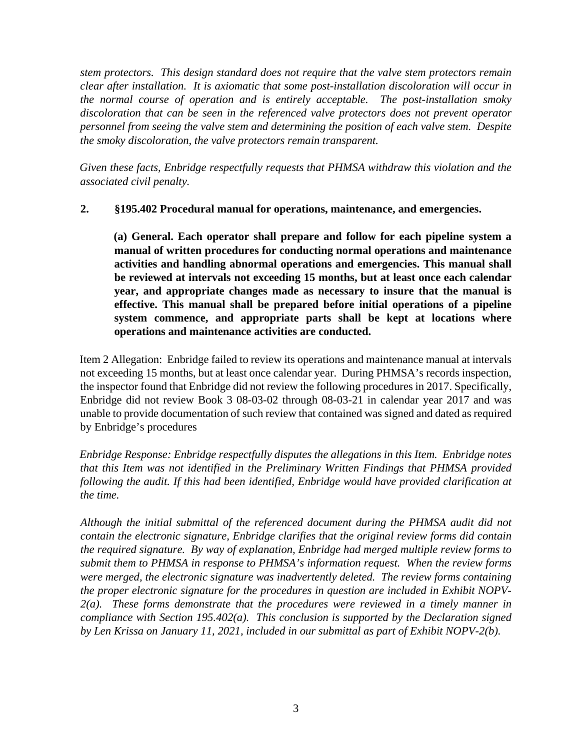*stem protectors. This design standard does not require that the valve stem protectors remain clear after installation. It is axiomatic that some post-installation discoloration will occur in the normal course of operation and is entirely acceptable. The post-installation smoky discoloration that can be seen in the referenced valve protectors does not prevent operator personnel from seeing the valve stem and determining the position of each valve stem. Despite the smoky discoloration, the valve protectors remain transparent.*

*Given these facts, Enbridge respectfully requests that PHMSA withdraw this violation and the associated civil penalty.* 

# **2. §195.402 Procedural manual for operations, maintenance, and emergencies.**

**(a) General. Each operator shall prepare and follow for each pipeline system a manual of written procedures for conducting normal operations and maintenance activities and handling abnormal operations and emergencies. This manual shall be reviewed at intervals not exceeding 15 months, but at least once each calendar year, and appropriate changes made as necessary to insure that the manual is effective. This manual shall be prepared before initial operations of a pipeline system commence, and appropriate parts shall be kept at locations where operations and maintenance activities are conducted.** 

Item 2 Allegation: Enbridge failed to review its operations and maintenance manual at intervals not exceeding 15 months, but at least once calendar year. During PHMSA's records inspection, the inspector found that Enbridge did not review the following procedures in 2017. Specifically, Enbridge did not review Book 3 08-03-02 through 08-03-21 in calendar year 2017 and was unable to provide documentation of such review that contained was signed and dated as required by Enbridge's procedures

*Enbridge Response: Enbridge respectfully disputes the allegations in this Item. Enbridge notes that this Item was not identified in the Preliminary Written Findings that PHMSA provided following the audit. If this had been identified, Enbridge would have provided clarification at the time.*

*Although the initial submittal of the referenced document during the PHMSA audit did not contain the electronic signature, Enbridge clarifies that the original review forms did contain the required signature. By way of explanation, Enbridge had merged multiple review forms to submit them to PHMSA in response to PHMSA's information request. When the review forms were merged, the electronic signature was inadvertently deleted. The review forms containing the proper electronic signature for the procedures in question are included in Exhibit NOPV-2(a). These forms demonstrate that the procedures were reviewed in a timely manner in compliance with Section 195.402(a). This conclusion is supported by the Declaration signed by Len Krissa on January 11, 2021, included in our submittal as part of Exhibit NOPV-2(b).*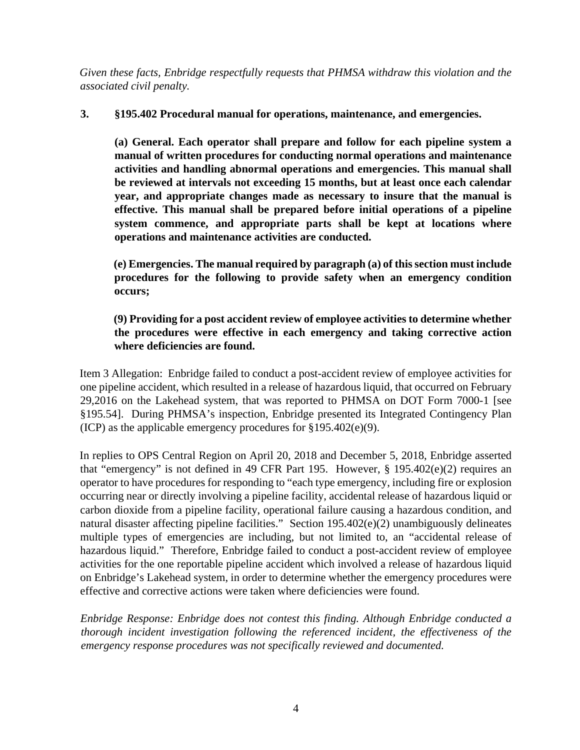*Given these facts, Enbridge respectfully requests that PHMSA withdraw this violation and the associated civil penalty.* 

# **3. §195.402 Procedural manual for operations, maintenance, and emergencies.**

**(a) General. Each operator shall prepare and follow for each pipeline system a manual of written procedures for conducting normal operations and maintenance activities and handling abnormal operations and emergencies. This manual shall be reviewed at intervals not exceeding 15 months, but at least once each calendar year, and appropriate changes made as necessary to insure that the manual is effective. This manual shall be prepared before initial operations of a pipeline system commence, and appropriate parts shall be kept at locations where operations and maintenance activities are conducted.** 

**(e) Emergencies. The manual required by paragraph (a) of this section must include procedures for the following to provide safety when an emergency condition occurs;** 

# **(9) Providing for a post accident review of employee activities to determine whether the procedures were effective in each emergency and taking corrective action where deficiencies are found.**

Item 3 Allegation: Enbridge failed to conduct a post-accident review of employee activities for one pipeline accident, which resulted in a release of hazardous liquid, that occurred on February 29,2016 on the Lakehead system, that was reported to PHMSA on DOT Form 7000-1 [see §195.54]. During PHMSA's inspection, Enbridge presented its Integrated Contingency Plan (ICP) as the applicable emergency procedures for §195.402(e)(9).

In replies to OPS Central Region on April 20, 2018 and December 5, 2018, Enbridge asserted that "emergency" is not defined in 49 CFR Part 195. However, § 195.402(e)(2) requires an operator to have procedures for responding to "each type emergency, including fire or explosion occurring near or directly involving a pipeline facility, accidental release of hazardous liquid or carbon dioxide from a pipeline facility, operational failure causing a hazardous condition, and natural disaster affecting pipeline facilities." Section 195.402(e)(2) unambiguously delineates multiple types of emergencies are including, but not limited to, an "accidental release of hazardous liquid." Therefore, Enbridge failed to conduct a post-accident review of employee activities for the one reportable pipeline accident which involved a release of hazardous liquid on Enbridge's Lakehead system, in order to determine whether the emergency procedures were effective and corrective actions were taken where deficiencies were found.

*Enbridge Response: Enbridge does not contest this finding. Although Enbridge conducted a thorough incident investigation following the referenced incident, the effectiveness of the emergency response procedures was not specifically reviewed and documented.*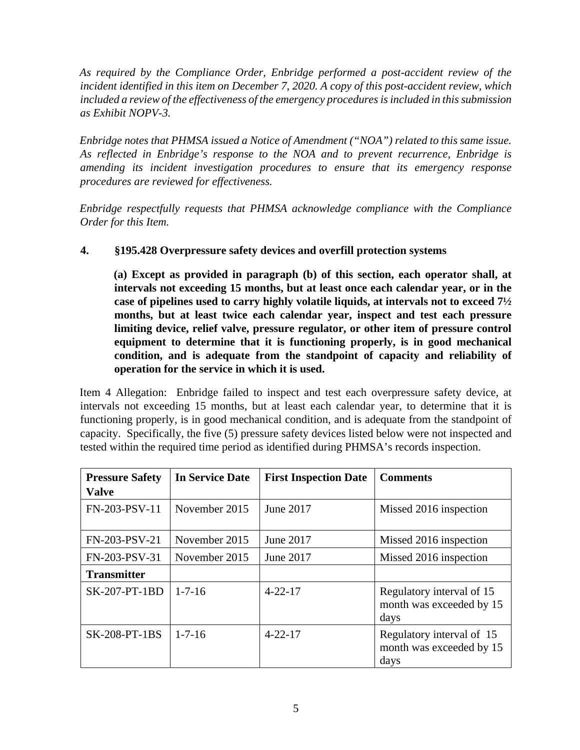*As required by the Compliance Order, Enbridge performed a post-accident review of the incident identified in this item on December 7, 2020. A copy of this post-accident review, which included a review of the effectiveness of the emergency procedures is included in this submission as Exhibit NOPV-3.*

*Enbridge notes that PHMSA issued a Notice of Amendment ("NOA") related to this same issue. As reflected in Enbridge's response to the NOA and to prevent recurrence, Enbridge is amending its incident investigation procedures to ensure that its emergency response procedures are reviewed for effectiveness.*

*Enbridge respectfully requests that PHMSA acknowledge compliance with the Compliance Order for this Item.*

# **4. §195.428 Overpressure safety devices and overfill protection systems**

**(a) Except as provided in paragraph (b) of this section, each operator shall, at intervals not exceeding 15 months, but at least once each calendar year, or in the case of pipelines used to carry highly volatile liquids, at intervals not to exceed 7½ months, but at least twice each calendar year, inspect and test each pressure limiting device, relief valve, pressure regulator, or other item of pressure control equipment to determine that it is functioning properly, is in good mechanical condition, and is adequate from the standpoint of capacity and reliability of operation for the service in which it is used.** 

Item 4 Allegation: Enbridge failed to inspect and test each overpressure safety device, at intervals not exceeding 15 months, but at least each calendar year, to determine that it is functioning properly, is in good mechanical condition, and is adequate from the standpoint of capacity. Specifically, the five (5) pressure safety devices listed below were not inspected and tested within the required time period as identified during PHMSA's records inspection.

| <b>Pressure Safety</b><br><b>Valve</b> | <b>In Service Date</b> | <b>First Inspection Date</b> | <b>Comments</b>                                               |
|----------------------------------------|------------------------|------------------------------|---------------------------------------------------------------|
| FN-203-PSV-11                          | November 2015          | June 2017                    | Missed 2016 inspection                                        |
| FN-203-PSV-21                          | November 2015          | June 2017                    | Missed 2016 inspection                                        |
| FN-203-PSV-31                          | November 2015          | June 2017                    | Missed 2016 inspection                                        |
| <b>Transmitter</b>                     |                        |                              |                                                               |
| <b>SK-207-PT-1BD</b>                   | $1 - 7 - 16$           | $4 - 22 - 17$                | Regulatory interval of 15<br>month was exceeded by 15<br>days |
| <b>SK-208-PT-1BS</b>                   | $1 - 7 - 16$           | $4 - 22 - 17$                | Regulatory interval of 15<br>month was exceeded by 15<br>days |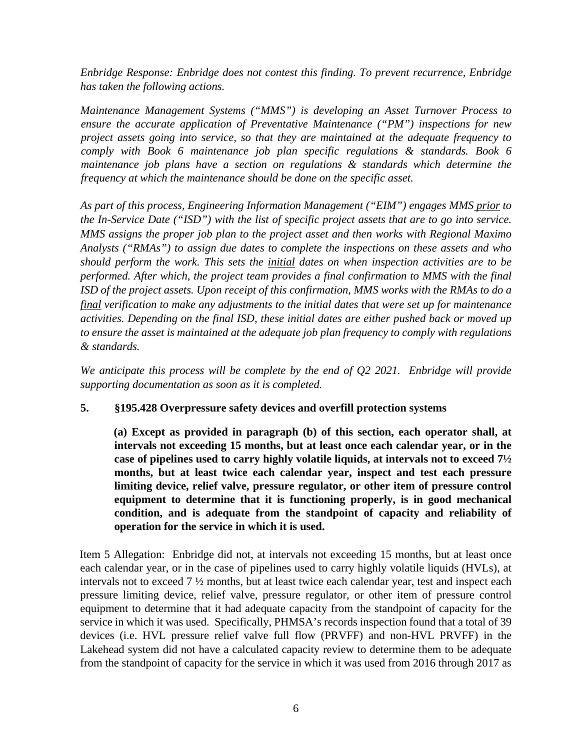*Enbridge Response: Enbridge does not contest this finding. To prevent recurrence, Enbridge has taken the following actions.*

*Maintenance Management Systems ("MMS") is developing an Asset Turnover Process to ensure the accurate application of Preventative Maintenance ("PM") inspections for new project assets going into service, so that they are maintained at the adequate frequency to comply with Book 6 maintenance job plan specific regulations & standards. Book 6 maintenance job plans have a section on regulations & standards which determine the frequency at which the maintenance should be done on the specific asset.*

*As part of this process, Engineering Information Management ("EIM") engages MMS prior to the In-Service Date ("ISD") with the list of specific project assets that are to go into service. MMS assigns the proper job plan to the project asset and then works with Regional Maximo Analysts ("RMAs") to assign due dates to complete the inspections on these assets and who should perform the work. This sets the initial dates on when inspection activities are to be performed. After which, the project team provides a final confirmation to MMS with the final ISD of the project assets. Upon receipt of this confirmation, MMS works with the RMAs to do a final verification to make any adjustments to the initial dates that were set up for maintenance activities. Depending on the final ISD, these initial dates are either pushed back or moved up to ensure the asset is maintained at the adequate job plan frequency to comply with regulations & standards.*

*We anticipate this process will be complete by the end of Q2 2021. Enbridge will provide supporting documentation as soon as it is completed.*

#### **5. §195.428 Overpressure safety devices and overfill protection systems**

**(a) Except as provided in paragraph (b) of this section, each operator shall, at intervals not exceeding 15 months, but at least once each calendar year, or in the case of pipelines used to carry highly volatile liquids, at intervals not to exceed 7½ months, but at least twice each calendar year, inspect and test each pressure limiting device, relief valve, pressure regulator, or other item of pressure control equipment to determine that it is functioning properly, is in good mechanical condition, and is adequate from the standpoint of capacity and reliability of operation for the service in which it is used.**

Item 5 Allegation: Enbridge did not, at intervals not exceeding 15 months, but at least once each calendar year, or in the case of pipelines used to carry highly volatile liquids (HVLs), at intervals not to exceed 7 ½ months, but at least twice each calendar year, test and inspect each pressure limiting device, relief valve, pressure regulator, or other item of pressure control equipment to determine that it had adequate capacity from the standpoint of capacity for the service in which it was used. Specifically, PHMSA's records inspection found that a total of 39 devices (i.e. HVL pressure relief valve full flow (PRVFF) and non-HVL PRVFF) in the Lakehead system did not have a calculated capacity review to determine them to be adequate from the standpoint of capacity for the service in which it was used from 2016 through 2017 as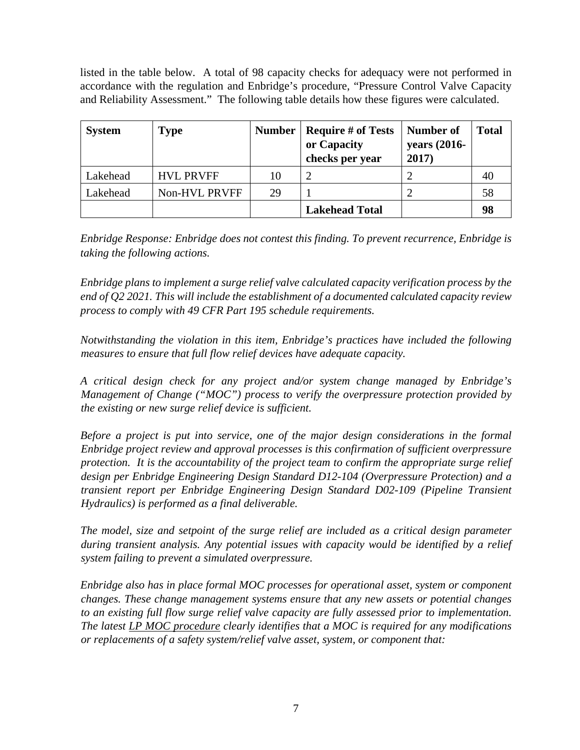listed in the table below. A total of 98 capacity checks for adequacy were not performed in accordance with the regulation and Enbridge's procedure, "Pressure Control Valve Capacity and Reliability Assessment." The following table details how these figures were calculated.

| <b>System</b> | <b>Type</b>      | <b>Number</b> | <b>Require # of Tests</b><br>or Capacity<br>checks per year | Number of<br>years (2016-<br>2017) | <b>Total</b> |
|---------------|------------------|---------------|-------------------------------------------------------------|------------------------------------|--------------|
| Lakehead      | <b>HVL PRVFF</b> | 10            |                                                             |                                    | 40           |
| Lakehead      | Non-HVL PRVFF    | 29            |                                                             |                                    | 58           |
|               |                  |               | <b>Lakehead Total</b>                                       |                                    | 98           |

*Enbridge Response: Enbridge does not contest this finding. To prevent recurrence, Enbridge is taking the following actions.*

*Enbridge plans to implement a surge relief valve calculated capacity verification process by the end of Q2 2021. This will include the establishment of a documented calculated capacity review process to comply with 49 CFR Part 195 schedule requirements.*

*Notwithstanding the violation in this item, Enbridge's practices have included the following measures to ensure that full flow relief devices have adequate capacity.*

*A critical design check for any project and/or system change managed by Enbridge's Management of Change ("MOC") process to verify the overpressure protection provided by the existing or new surge relief device is sufficient.*

*Before a project is put into service, one of the major design considerations in the formal Enbridge project review and approval processes is this confirmation of sufficient overpressure protection. It is the accountability of the project team to confirm the appropriate surge relief design per Enbridge Engineering Design Standard D12-104 (Overpressure Protection) and a transient report per Enbridge Engineering Design Standard D02-109 (Pipeline Transient Hydraulics) is performed as a final deliverable.*

*The model, size and setpoint of the surge relief are included as a critical design parameter during transient analysis. Any potential issues with capacity would be identified by a relief system failing to prevent a simulated overpressure.* 

*Enbridge also has in place formal MOC processes for operational asset, system or component changes. These change management systems ensure that any new assets or potential changes to an existing full flow surge relief valve capacity are fully assessed prior to implementation. The latest LP MOC procedure clearly identifies that a MOC is required for any modifications or replacements of a safety system/relief valve asset, system, or component that:*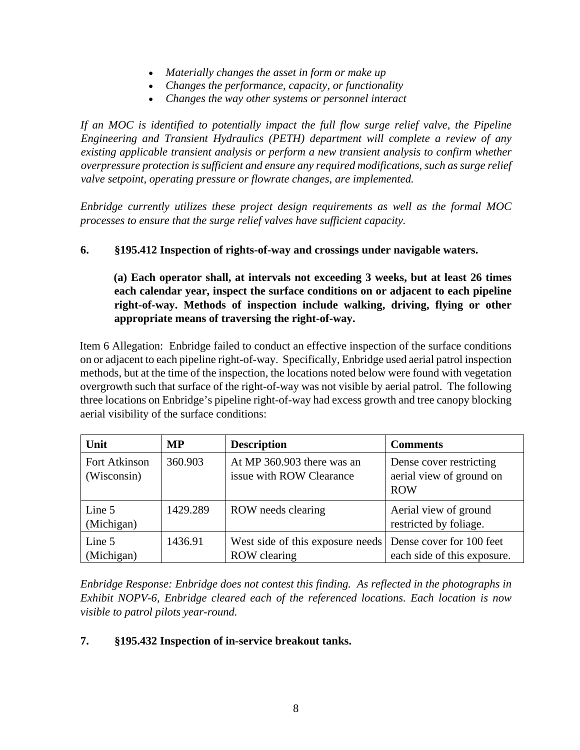- *Materially changes the asset in form or make up*
- *Changes the performance, capacity, or functionality*
- *Changes the way other systems or personnel interact*

*If an MOC is identified to potentially impact the full flow surge relief valve, the Pipeline Engineering and Transient Hydraulics (PETH) department will complete a review of any existing applicable transient analysis or perform a new transient analysis to confirm whether overpressure protection is sufficient and ensure any required modifications, such as surge relief valve setpoint, operating pressure or flowrate changes, are implemented.* 

*Enbridge currently utilizes these project design requirements as well as the formal MOC processes to ensure that the surge relief valves have sufficient capacity.*

### **6. §195.412 Inspection of rights-of-way and crossings under navigable waters.**

**(a) Each operator shall, at intervals not exceeding 3 weeks, but at least 26 times each calendar year, inspect the surface conditions on or adjacent to each pipeline right-of-way. Methods of inspection include walking, driving, flying or other appropriate means of traversing the right-of-way.** 

Item 6 Allegation: Enbridge failed to conduct an effective inspection of the surface conditions on or adjacent to each pipeline right-of-way. Specifically, Enbridge used aerial patrol inspection methods, but at the time of the inspection, the locations noted below were found with vegetation overgrowth such that surface of the right-of-way was not visible by aerial patrol. The following three locations on Enbridge's pipeline right-of-way had excess growth and tree canopy blocking aerial visibility of the surface conditions:

| Unit                         | MP       | <b>Description</b>                                                        | <b>Comments</b>                                                   |
|------------------------------|----------|---------------------------------------------------------------------------|-------------------------------------------------------------------|
| Fort Atkinson<br>(Wisconsin) | 360.903  | At MP 360.903 there was an<br>issue with ROW Clearance                    | Dense cover restricting<br>aerial view of ground on<br><b>ROW</b> |
| Line 5<br>(Michigan)         | 1429.289 | ROW needs clearing                                                        | Aerial view of ground<br>restricted by foliage.                   |
| Line 5<br>(Michigan)         | 1436.91  | West side of this exposure needs Dense cover for 100 feet<br>ROW clearing | each side of this exposure.                                       |

*Enbridge Response: Enbridge does not contest this finding. As reflected in the photographs in Exhibit NOPV-6, Enbridge cleared each of the referenced locations. Each location is now visible to patrol pilots year-round.*

# **7. §195.432 Inspection of in-service breakout tanks.**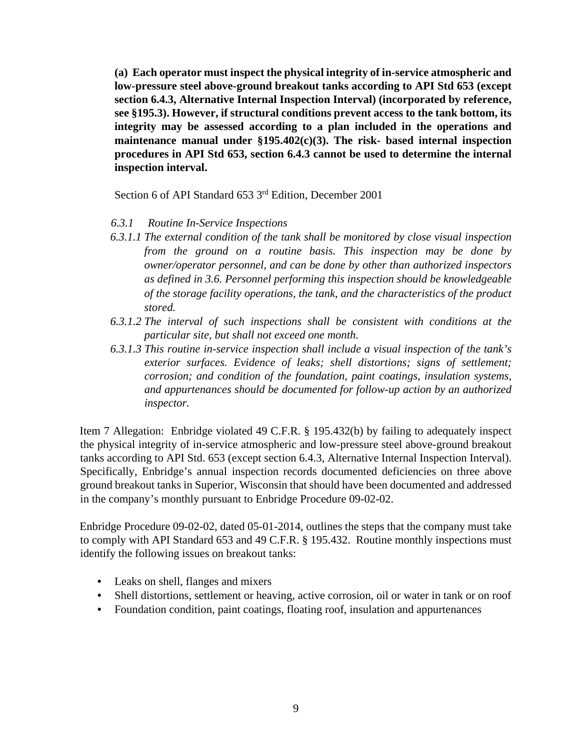**(a) Each operator must inspect the physical integrity of in-service atmospheric and low-pressure steel above-ground breakout tanks according to API Std 653 (except section 6.4.3, Alternative Internal Inspection Interval) (incorporated by reference, see §195.3). However, if structural conditions prevent access to the tank bottom, its integrity may be assessed according to a plan included in the operations and maintenance manual under §195.402(c)(3). The risk- based internal inspection procedures in API Std 653, section 6.4.3 cannot be used to determine the internal inspection interval.** 

Section 6 of API Standard 653 3rd Edition, December 2001

#### *6.3.1 Routine In-Service Inspections*

- *6.3.1.1 The external condition of the tank shall be monitored by close visual inspection from the ground on a routine basis. This inspection may be done by owner/operator personnel, and can be done by other than authorized inspectors as defined in 3.6. Personnel performing this inspection should be knowledgeable of the storage facility operations, the tank, and the characteristics of the product stored.*
- *6.3.1.2 The interval of such inspections shall be consistent with conditions at the particular site, but shall not exceed one month.*
- *6.3.1.3 This routine in-service inspection shall include a visual inspection of the tank's exterior surfaces. Evidence of leaks; shell distortions; signs of settlement; corrosion; and condition of the foundation, paint coatings, insulation systems, and appurtenances should be documented for follow-up action by an authorized inspector.*

Item 7 Allegation: Enbridge violated 49 C.F.R. § 195.432(b) by failing to adequately inspect the physical integrity of in-service atmospheric and low-pressure steel above-ground breakout tanks according to API Std. 653 (except section 6.4.3, Alternative Internal Inspection Interval). Specifically, Enbridge's annual inspection records documented deficiencies on three above ground breakout tanks in Superior, Wisconsin that should have been documented and addressed in the company's monthly pursuant to Enbridge Procedure 09-02-02.

Enbridge Procedure 09-02-02, dated 05-01-2014, outlines the steps that the company must take to comply with API Standard 653 and 49 C.F.R. § 195.432. Routine monthly inspections must identify the following issues on breakout tanks:

- Leaks on shell, flanges and mixers
- Shell distortions, settlement or heaving, active corrosion, oil or water in tank or on roof
- Foundation condition, paint coatings, floating roof, insulation and appurtenances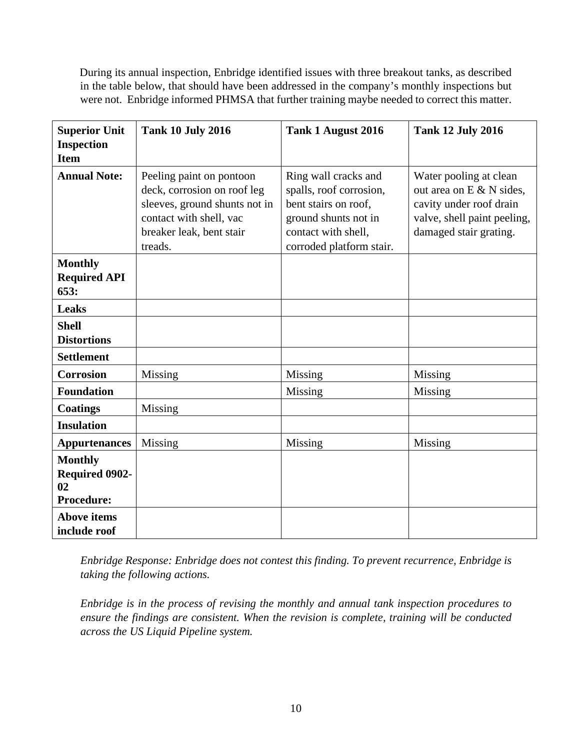During its annual inspection, Enbridge identified issues with three breakout tanks, as described in the table below, that should have been addressed in the company's monthly inspections but were not. Enbridge informed PHMSA that further training maybe needed to correct this matter.

| <b>Superior Unit</b><br><b>Inspection</b><br><b>Item</b>           | <b>Tank 10 July 2016</b>                                                                                                                                   | Tank 1 August 2016                                                                                                                                 | <b>Tank 12 July 2016</b>                                                                                                               |
|--------------------------------------------------------------------|------------------------------------------------------------------------------------------------------------------------------------------------------------|----------------------------------------------------------------------------------------------------------------------------------------------------|----------------------------------------------------------------------------------------------------------------------------------------|
| <b>Annual Note:</b>                                                | Peeling paint on pontoon<br>deck, corrosion on roof leg<br>sleeves, ground shunts not in<br>contact with shell, vac<br>breaker leak, bent stair<br>treads. | Ring wall cracks and<br>spalls, roof corrosion,<br>bent stairs on roof,<br>ground shunts not in<br>contact with shell,<br>corroded platform stair. | Water pooling at clean<br>out area on E & N sides,<br>cavity under roof drain<br>valve, shell paint peeling,<br>damaged stair grating. |
| <b>Monthly</b><br><b>Required API</b><br>653:                      |                                                                                                                                                            |                                                                                                                                                    |                                                                                                                                        |
| <b>Leaks</b>                                                       |                                                                                                                                                            |                                                                                                                                                    |                                                                                                                                        |
| <b>Shell</b><br><b>Distortions</b>                                 |                                                                                                                                                            |                                                                                                                                                    |                                                                                                                                        |
| <b>Settlement</b>                                                  |                                                                                                                                                            |                                                                                                                                                    |                                                                                                                                        |
| <b>Corrosion</b>                                                   | Missing                                                                                                                                                    | Missing                                                                                                                                            | Missing                                                                                                                                |
| <b>Foundation</b>                                                  |                                                                                                                                                            | Missing                                                                                                                                            | Missing                                                                                                                                |
| <b>Coatings</b>                                                    | Missing                                                                                                                                                    |                                                                                                                                                    |                                                                                                                                        |
| <b>Insulation</b>                                                  |                                                                                                                                                            |                                                                                                                                                    |                                                                                                                                        |
| <b>Appurtenances</b>                                               | Missing                                                                                                                                                    | Missing                                                                                                                                            | Missing                                                                                                                                |
| <b>Monthly</b><br><b>Required 0902-</b><br>02<br><b>Procedure:</b> |                                                                                                                                                            |                                                                                                                                                    |                                                                                                                                        |
| <b>Above items</b><br>include roof                                 |                                                                                                                                                            |                                                                                                                                                    |                                                                                                                                        |

*Enbridge Response: Enbridge does not contest this finding. To prevent recurrence, Enbridge is taking the following actions.*

*Enbridge is in the process of revising the monthly and annual tank inspection procedures to ensure the findings are consistent. When the revision is complete, training will be conducted across the US Liquid Pipeline system.*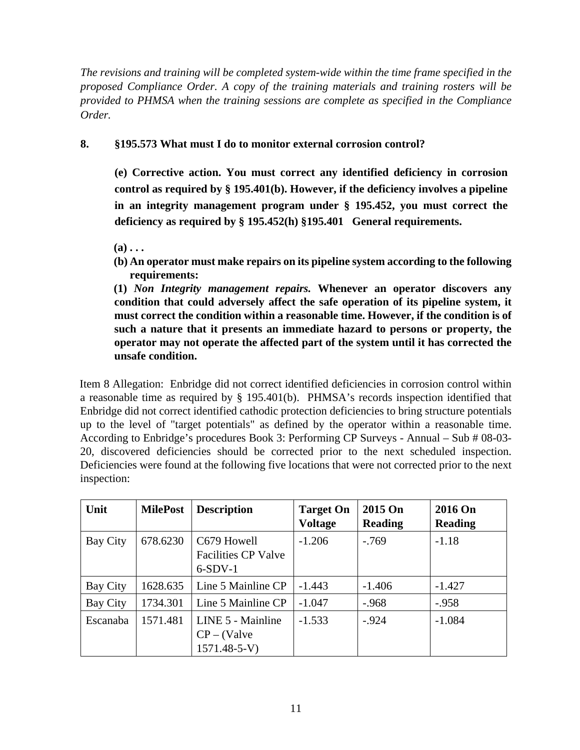*The revisions and training will be completed system-wide within the time frame specified in the proposed Compliance Order. A copy of the training materials and training rosters will be provided to PHMSA when the training sessions are complete as specified in the Compliance Order.* 

# **8. §195.573 What must I do to monitor external corrosion control?**

**(e) Corrective action. You must correct any identified deficiency in corrosion control as required by § 195.401(b). However, if the deficiency involves a pipeline in an integrity management program under § 195.452, you must correct the deficiency as required by § 195.452(h) §195.401 General requirements.** 

 $(a)$ ...

**(b) An operator must make repairs on its pipeline system according to the following requirements:** 

**(1)** *Non Integrity management repairs.* **Whenever an operator discovers any condition that could adversely affect the safe operation of its pipeline system, it must correct the condition within a reasonable time. However, if the condition is of such a nature that it presents an immediate hazard to persons or property, the operator may not operate the affected part of the system until it has corrected the unsafe condition.** 

Item 8 Allegation: Enbridge did not correct identified deficiencies in corrosion control within a reasonable time as required by § 195.401(b). PHMSA's records inspection identified that Enbridge did not correct identified cathodic protection deficiencies to bring structure potentials up to the level of "target potentials" as defined by the operator within a reasonable time. According to Enbridge's procedures Book 3: Performing CP Surveys - Annual – Sub # 08-03- 20, discovered deficiencies should be corrected prior to the next scheduled inspection. Deficiencies were found at the following five locations that were not corrected prior to the next inspection:

| Unit     | <b>MilePost</b> | <b>Description</b>                                      | <b>Target On</b><br><b>Voltage</b> | 2015 On<br><b>Reading</b> | 2016 On<br><b>Reading</b> |
|----------|-----------------|---------------------------------------------------------|------------------------------------|---------------------------|---------------------------|
| Bay City | 678.6230        | C679 Howell<br><b>Facilities CP Valve</b><br>$6-SDV-1$  | $-1.206$                           | $-.769$                   | $-1.18$                   |
| Bay City | 1628.635        | Line 5 Mainline CP                                      | $-1.443$                           | $-1.406$                  | $-1.427$                  |
| Bay City | 1734.301        | Line 5 Mainline CP                                      | $-1.047$                           | $-.968$                   | $-.958$                   |
| Escanaba | 1571.481        | LINE 5 - Mainline<br>$CP - (Value$<br>$1571.48 - 5 - V$ | $-1.533$                           | $-.924$                   | $-1.084$                  |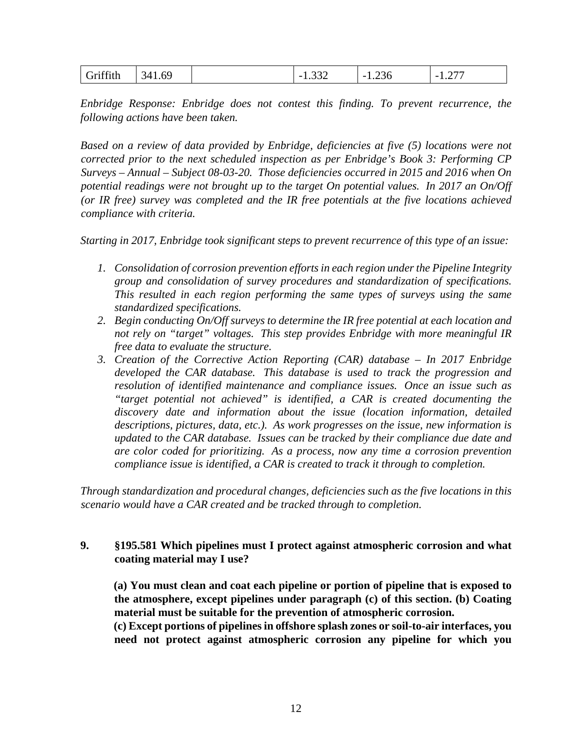| $\sim$ $\sim$<br>1.69<br>34.<br>ıffıth | $\Omega$<br>$\overline{\phantom{0}}$<br>1.JJZ | -<br>∪ ب∠.⊥ | $\sqrt{2}$<br>$\overline{\phantom{0}}$<br>. . <u>.</u> |
|----------------------------------------|-----------------------------------------------|-------------|--------------------------------------------------------|
|----------------------------------------|-----------------------------------------------|-------------|--------------------------------------------------------|

*Enbridge Response: Enbridge does not contest this finding. To prevent recurrence, the following actions have been taken.*

*Based on a review of data provided by Enbridge, deficiencies at five (5) locations were not corrected prior to the next scheduled inspection as per Enbridge's Book 3: Performing CP Surveys – Annual – Subject 08-03-20. Those deficiencies occurred in 2015 and 2016 when On potential readings were not brought up to the target On potential values. In 2017 an On/Off (or IR free) survey was completed and the IR free potentials at the five locations achieved compliance with criteria.* 

*Starting in 2017, Enbridge took significant steps to prevent recurrence of this type of an issue:*

- *1. Consolidation of corrosion prevention efforts in each region under the Pipeline Integrity group and consolidation of survey procedures and standardization of specifications. This resulted in each region performing the same types of surveys using the same standardized specifications.*
- *2. Begin conducting On/Off surveys to determine the IR free potential at each location and not rely on "target" voltages. This step provides Enbridge with more meaningful IR free data to evaluate the structure.*
- *3. Creation of the Corrective Action Reporting (CAR) database – In 2017 Enbridge developed the CAR database. This database is used to track the progression and resolution of identified maintenance and compliance issues. Once an issue such as "target potential not achieved" is identified, a CAR is created documenting the discovery date and information about the issue (location information, detailed descriptions, pictures, data, etc.). As work progresses on the issue, new information is updated to the CAR database. Issues can be tracked by their compliance due date and are color coded for prioritizing. As a process, now any time a corrosion prevention compliance issue is identified, a CAR is created to track it through to completion.*

*Through standardization and procedural changes, deficiencies such as the five locations in this scenario would have a CAR created and be tracked through to completion.*

### **9. §195.581 Which pipelines must I protect against atmospheric corrosion and what coating material may I use?**

**(a) You must clean and coat each pipeline or portion of pipeline that is exposed to the atmosphere, except pipelines under paragraph (c) of this section. (b) Coating material must be suitable for the prevention of atmospheric corrosion.** 

**(c) Except portions of pipelines in offshore splash zones or soil-to-air interfaces, you need not protect against atmospheric corrosion any pipeline for which you**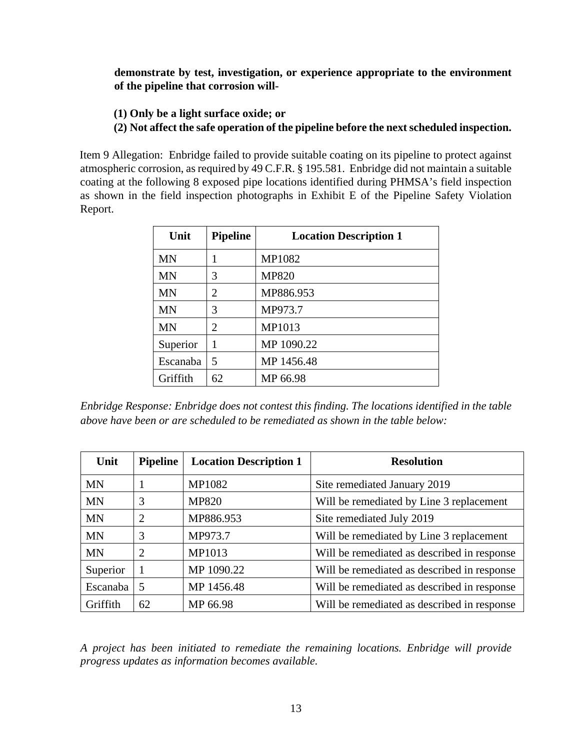**demonstrate by test, investigation, or experience appropriate to the environment of the pipeline that corrosion will-**

- **(1) Only be a light surface oxide; or**
- **(2) Not affect the safe operation of the pipeline before the next scheduled inspection.**

Item 9 Allegation: Enbridge failed to provide suitable coating on its pipeline to protect against atmospheric corrosion, as required by 49 C.F.R. § 195.581. Enbridge did not maintain a suitable coating at the following 8 exposed pipe locations identified during PHMSA's field inspection as shown in the field inspection photographs in Exhibit E of the Pipeline Safety Violation Report.

| Unit      | <b>Pipeline</b> | <b>Location Description 1</b> |
|-----------|-----------------|-------------------------------|
| <b>MN</b> |                 | MP1082                        |
| <b>MN</b> | 3               | <b>MP820</b>                  |
| <b>MN</b> | 2               | MP886.953                     |
| <b>MN</b> | 3               | MP973.7                       |
| <b>MN</b> | 2               | MP1013                        |
| Superior  | 1               | MP 1090.22                    |
| Escanaba  | 5               | MP 1456.48                    |
| Griffith  | 62              | MP 66.98                      |

*Enbridge Response: Enbridge does not contest this finding. The locations identified in the table above have been or are scheduled to be remediated as shown in the table below:* 

| Unit      | <b>Pipeline</b> | <b>Location Description 1</b> | <b>Resolution</b>                           |
|-----------|-----------------|-------------------------------|---------------------------------------------|
| MN        |                 | <b>MP1082</b>                 | Site remediated January 2019                |
| <b>MN</b> | 3               | <b>MP820</b>                  | Will be remediated by Line 3 replacement    |
| <b>MN</b> | 2               | MP886.953                     | Site remediated July 2019                   |
| <b>MN</b> | 3               | MP973.7                       | Will be remediated by Line 3 replacement    |
| <b>MN</b> | $\overline{2}$  | MP1013                        | Will be remediated as described in response |
| Superior  | J.              | MP 1090.22                    | Will be remediated as described in response |
| Escanaba  | 5               | MP 1456.48                    | Will be remediated as described in response |
| Griffith  | 62              | MP 66.98                      | Will be remediated as described in response |

*A project has been initiated to remediate the remaining locations. Enbridge will provide progress updates as information becomes available.*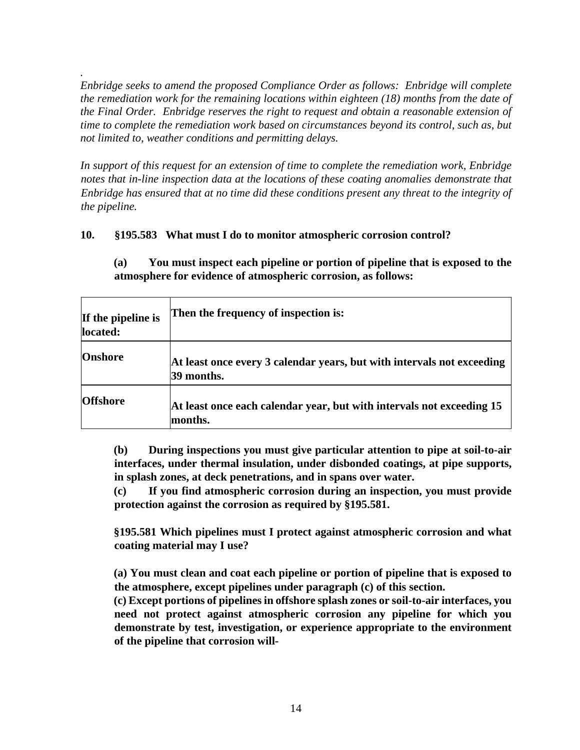*. Enbridge seeks to amend the proposed Compliance Order as follows: Enbridge will complete the remediation work for the remaining locations within eighteen (18) months from the date of the Final Order. Enbridge reserves the right to request and obtain a reasonable extension of time to complete the remediation work based on circumstances beyond its control, such as, but not limited to, weather conditions and permitting delays.* 

*In support of this request for an extension of time to complete the remediation work, Enbridge notes that in-line inspection data at the locations of these coating anomalies demonstrate that Enbridge has ensured that at no time did these conditions present any threat to the integrity of the pipeline.* 

# **10. §195.583 What must I do to monitor atmospheric corrosion control?**

**(a) You must inspect each pipeline or portion of pipeline that is exposed to the atmosphere for evidence of atmospheric corrosion, as follows:** 

| If the pipeline is<br>located: | Then the frequency of inspection is:                                                 |
|--------------------------------|--------------------------------------------------------------------------------------|
| <b>Onshore</b>                 | At least once every 3 calendar years, but with intervals not exceeding<br>39 months. |
| <b>Offshore</b>                | At least once each calendar year, but with intervals not exceeding 15<br>months.     |

**(b) During inspections you must give particular attention to pipe at soil-to-air interfaces, under thermal insulation, under disbonded coatings, at pipe supports, in splash zones, at deck penetrations, and in spans over water.** 

**(c) If you find atmospheric corrosion during an inspection, you must provide protection against the corrosion as required by §195.581.** 

**§195.581 Which pipelines must I protect against atmospheric corrosion and what coating material may I use?** 

**(a) You must clean and coat each pipeline or portion of pipeline that is exposed to the atmosphere, except pipelines under paragraph (c) of this section.** 

**(c) Except portions of pipelines in offshore splash zones or soil-to-air interfaces, you need not protect against atmospheric corrosion any pipeline for which you demonstrate by test, investigation, or experience appropriate to the environment of the pipeline that corrosion will-**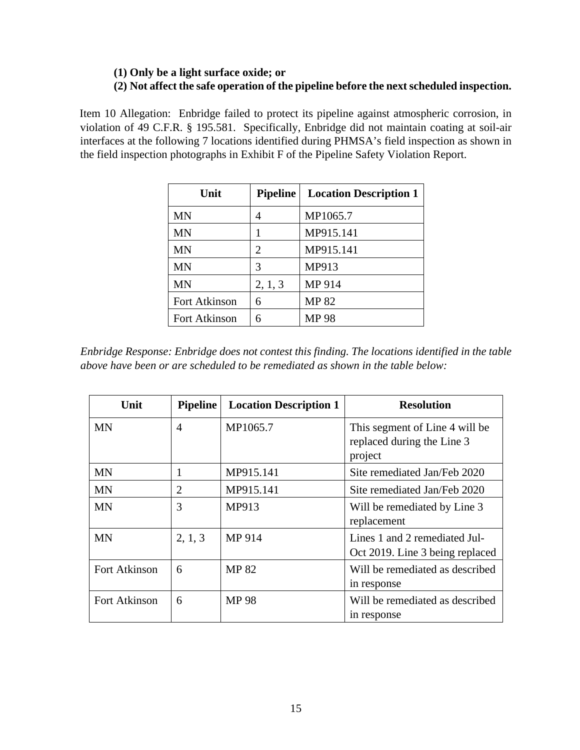# **(1) Only be a light surface oxide; or (2) Not affect the safe operation of the pipeline before the next scheduled inspection.**

Item 10 Allegation: Enbridge failed to protect its pipeline against atmospheric corrosion, in violation of 49 C.F.R. § 195.581. Specifically, Enbridge did not maintain coating at soil-air interfaces at the following 7 locations identified during PHMSA's field inspection as shown in the field inspection photographs in Exhibit F of the Pipeline Safety Violation Report.

| Unit          | <b>Pipeline</b> | <b>Location Description 1</b> |
|---------------|-----------------|-------------------------------|
| <b>MN</b>     | 4               | MP1065.7                      |
| <b>MN</b>     |                 | MP915.141                     |
| <b>MN</b>     | 2               | MP915.141                     |
| <b>MN</b>     | 3               | MP913                         |
| <b>MN</b>     | 2, 1, 3         | MP 914                        |
| Fort Atkinson | 6               | <b>MP 82</b>                  |
| Fort Atkinson | 6               | <b>MP 98</b>                  |

*Enbridge Response: Enbridge does not contest this finding. The locations identified in the table above have been or are scheduled to be remediated as shown in the table below:* 

| Unit                 | <b>Pipeline</b> | <b>Location Description 1</b> | <b>Resolution</b>                                                       |
|----------------------|-----------------|-------------------------------|-------------------------------------------------------------------------|
| <b>MN</b>            | 4               | MP1065.7                      | This segment of Line 4 will be<br>replaced during the Line 3<br>project |
| MN                   | 1               | MP915.141                     | Site remediated Jan/Feb 2020                                            |
| <b>MN</b>            | 2               | MP915.141                     | Site remediated Jan/Feb 2020                                            |
| <b>MN</b>            | 3               | MP913                         | Will be remediated by Line 3<br>replacement                             |
| <b>MN</b>            | 2, 1, 3         | MP 914                        | Lines 1 and 2 remediated Jul-<br>Oct 2019. Line 3 being replaced        |
| <b>Fort Atkinson</b> | 6               | <b>MP 82</b>                  | Will be remediated as described<br>in response                          |
| Fort Atkinson        | 6               | <b>MP 98</b>                  | Will be remediated as described<br>in response                          |